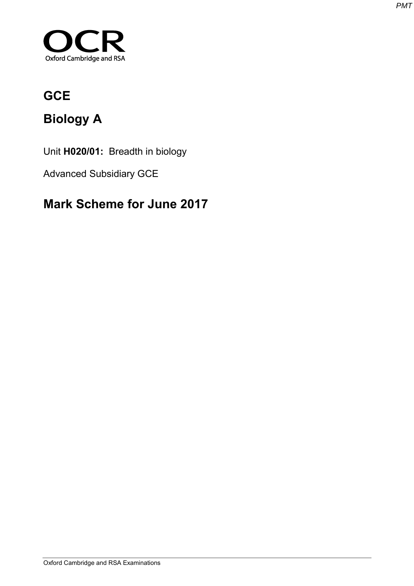

# **GCE**

# **Biology A**

Unit **H020/01:** Breadth in biology

Advanced Subsidiary GCE

# **Mark Scheme for June 2017**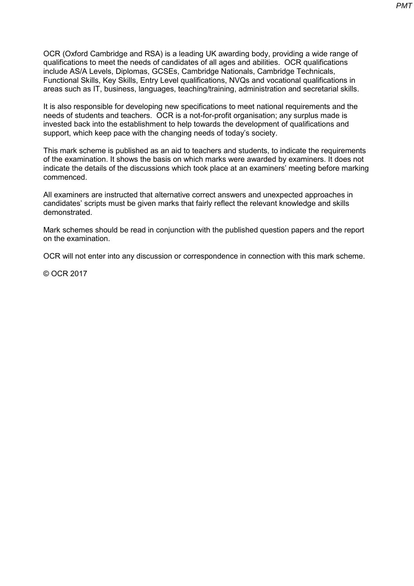OCR (Oxford Cambridge and RSA) is a leading UK awarding body, providing a wide range of qualifications to meet the needs of candidates of all ages and abilities. OCR qualifications include AS/A Levels, Diplomas, GCSEs, Cambridge Nationals, Cambridge Technicals, Functional Skills, Key Skills, Entry Level qualifications, NVQs and vocational qualifications in areas such as IT, business, languages, teaching/training, administration and secretarial skills.

It is also responsible for developing new specifications to meet national requirements and the needs of students and teachers. OCR is a not-for-profit organisation; any surplus made is invested back into the establishment to help towards the development of qualifications and support, which keep pace with the changing needs of today's society.

This mark scheme is published as an aid to teachers and students, to indicate the requirements of the examination. It shows the basis on which marks were awarded by examiners. It does not indicate the details of the discussions which took place at an examiners' meeting before marking commenced.

All examiners are instructed that alternative correct answers and unexpected approaches in candidates' scripts must be given marks that fairly reflect the relevant knowledge and skills demonstrated.

Mark schemes should be read in conjunction with the published question papers and the report on the examination.

OCR will not enter into any discussion or correspondence in connection with this mark scheme.

© OCR 2017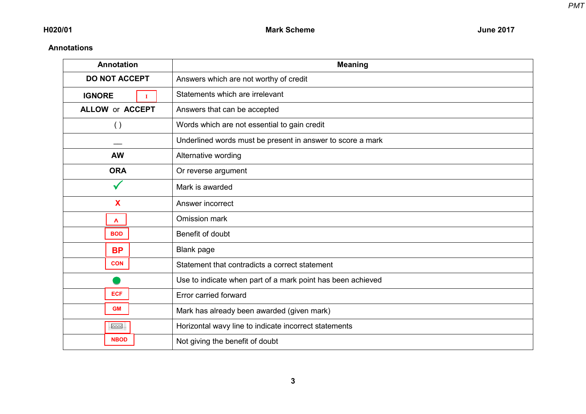## **Annotations**

| <b>Annotation</b>            | <b>Meaning</b>                                              |  |  |  |
|------------------------------|-------------------------------------------------------------|--|--|--|
| <b>DO NOT ACCEPT</b>         | Answers which are not worthy of credit                      |  |  |  |
| <b>IGNORE</b><br>$\mathbf I$ | Statements which are irrelevant                             |  |  |  |
| <b>ALLOW or ACCEPT</b>       | Answers that can be accepted                                |  |  |  |
| $\left( \ \right)$           | Words which are not essential to gain credit                |  |  |  |
|                              | Underlined words must be present in answer to score a mark  |  |  |  |
| <b>AW</b>                    | Alternative wording                                         |  |  |  |
| <b>ORA</b>                   | Or reverse argument                                         |  |  |  |
|                              | Mark is awarded                                             |  |  |  |
| X                            | Answer incorrect                                            |  |  |  |
| $\mathbf{v}$                 | Omission mark                                               |  |  |  |
| <b>BOD</b>                   | Benefit of doubt                                            |  |  |  |
| <b>BP</b>                    | <b>Blank page</b>                                           |  |  |  |
| <b>CON</b>                   | Statement that contradicts a correct statement              |  |  |  |
|                              | Use to indicate when part of a mark point has been achieved |  |  |  |
| <b>ECF</b>                   | Error carried forward                                       |  |  |  |
| <b>GM</b>                    | Mark has already been awarded (given mark)                  |  |  |  |
| $\sim$                       | Horizontal wavy line to indicate incorrect statements       |  |  |  |
| <b>NBOD</b>                  | Not giving the benefit of doubt                             |  |  |  |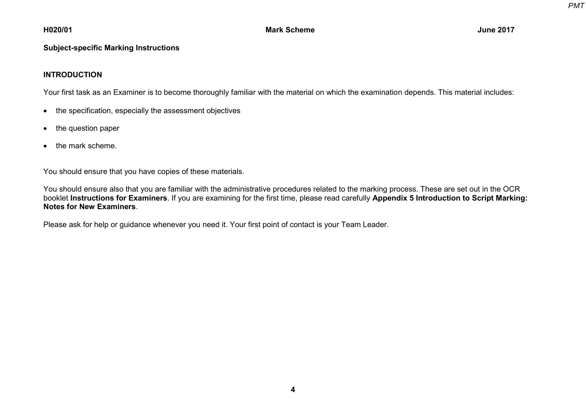## **H020/01 Mark Scheme June 2017**

#### **Subject-specific Marking Instructions**

### **INTRODUCTION**

Your first task as an Examiner is to become thoroughly familiar with the material on which the examination depends. This material includes:

- the specification, especially the assessment objectives
- the question paper
- the mark scheme.

You should ensure that you have copies of these materials.

You should ensure also that you are familiar with the administrative procedures related to the marking process. These are set out in the OCR booklet **Instructions for Examiners**. If you are examining for the first time, please read carefully **Appendix 5 Introduction to Script Marking: Notes for New Examiners**.

Please ask for help or guidance whenever you need it. Your first point of contact is your Team Leader.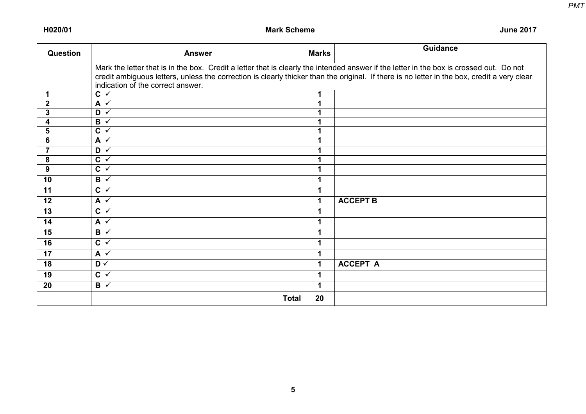**H020/01 Mark Scheme June 2017**

| Question                |  | <b>Marks</b><br><b>Answer</b>                                                                                                                                                                                                                                                                                               |    | <b>Guidance</b> |  |  |  |
|-------------------------|--|-----------------------------------------------------------------------------------------------------------------------------------------------------------------------------------------------------------------------------------------------------------------------------------------------------------------------------|----|-----------------|--|--|--|
|                         |  | Mark the letter that is in the box. Credit a letter that is clearly the intended answer if the letter in the box is crossed out. Do not<br>credit ambiguous letters, unless the correction is clearly thicker than the original. If there is no letter in the box, credit a very clear<br>indication of the correct answer. |    |                 |  |  |  |
| 1                       |  | $C \checkmark$                                                                                                                                                                                                                                                                                                              | 1  |                 |  |  |  |
| $\overline{\mathbf{2}}$ |  | $A \vee$                                                                                                                                                                                                                                                                                                                    |    |                 |  |  |  |
| 3                       |  | $\overline{D \vee}$                                                                                                                                                                                                                                                                                                         |    |                 |  |  |  |
| 4                       |  | $B \checkmark$                                                                                                                                                                                                                                                                                                              | 1  |                 |  |  |  |
| 5                       |  | $\overline{C}$ $\checkmark$                                                                                                                                                                                                                                                                                                 |    |                 |  |  |  |
| 6                       |  | $\overline{A}$ $\overline{v}$                                                                                                                                                                                                                                                                                               |    |                 |  |  |  |
| $\overline{7}$          |  | $\overline{D \vee}$                                                                                                                                                                                                                                                                                                         | 4  |                 |  |  |  |
| 8                       |  | $C \sim$                                                                                                                                                                                                                                                                                                                    |    |                 |  |  |  |
| 9                       |  | $\overline{C}$ $\checkmark$                                                                                                                                                                                                                                                                                                 |    |                 |  |  |  |
| 10                      |  | $B \vee$                                                                                                                                                                                                                                                                                                                    |    |                 |  |  |  |
| 11                      |  | $C \sim$                                                                                                                                                                                                                                                                                                                    |    |                 |  |  |  |
| 12                      |  | $A \vee$                                                                                                                                                                                                                                                                                                                    | 1  | <b>ACCEPT B</b> |  |  |  |
| 13                      |  | $\overline{c}$ $\overline{v}$                                                                                                                                                                                                                                                                                               | 1  |                 |  |  |  |
| 14                      |  | $A \vee$                                                                                                                                                                                                                                                                                                                    | 1  |                 |  |  |  |
| 15                      |  | $\overline{B}$ $\overline{v}$                                                                                                                                                                                                                                                                                               |    |                 |  |  |  |
| 16                      |  | $C \sim$                                                                                                                                                                                                                                                                                                                    |    |                 |  |  |  |
| 17                      |  | $A \checkmark$                                                                                                                                                                                                                                                                                                              | 1  |                 |  |  |  |
| 18                      |  | $\overline{D \vee}$                                                                                                                                                                                                                                                                                                         | 1  | <b>ACCEPT A</b> |  |  |  |
| 19                      |  | $C \sim$                                                                                                                                                                                                                                                                                                                    | 1  |                 |  |  |  |
| 20                      |  | $B \vee$                                                                                                                                                                                                                                                                                                                    | 1  |                 |  |  |  |
|                         |  | <b>Total</b>                                                                                                                                                                                                                                                                                                                | 20 |                 |  |  |  |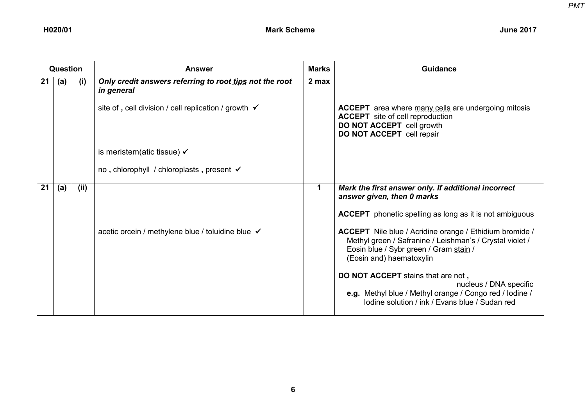|    | Question |      | <b>Answer</b>                                                         | <b>Marks</b> | Guidance                                                                                                                                                                                  |
|----|----------|------|-----------------------------------------------------------------------|--------------|-------------------------------------------------------------------------------------------------------------------------------------------------------------------------------------------|
| 21 | (a)      | (i)  | Only credit answers referring to root tips not the root<br>in general | 2 max        |                                                                                                                                                                                           |
|    |          |      | site of, cell division / cell replication / growth $\checkmark$       |              | <b>ACCEPT</b> area where many cells are undergoing mitosis<br><b>ACCEPT</b> site of cell reproduction<br>DO NOT ACCEPT cell growth<br>DO NOT ACCEPT cell repair                           |
|    |          |      | is meristem(atic tissue) $\checkmark$                                 |              |                                                                                                                                                                                           |
|    |          |      | no, chlorophyll / chloroplasts, present √                             |              |                                                                                                                                                                                           |
| 21 | (a)      | (ii) |                                                                       | $\mathbf 1$  | Mark the first answer only. If additional incorrect<br>answer given, then 0 marks                                                                                                         |
|    |          |      |                                                                       |              | <b>ACCEPT</b> phonetic spelling as long as it is not ambiguous                                                                                                                            |
|    |          |      | acetic orcein / methylene blue / toluidine blue √                     |              | ACCEPT Nile blue / Acridine orange / Ethidium bromide /<br>Methyl green / Safranine / Leishman's / Crystal violet /<br>Eosin blue / Sybr green / Gram stain /<br>(Eosin and) haematoxylin |
|    |          |      |                                                                       |              | DO NOT ACCEPT stains that are not,<br>nucleus / DNA specific<br>e.g. Methyl blue / Methyl orange / Congo red / lodine /<br>Iodine solution / ink / Evans blue / Sudan red                 |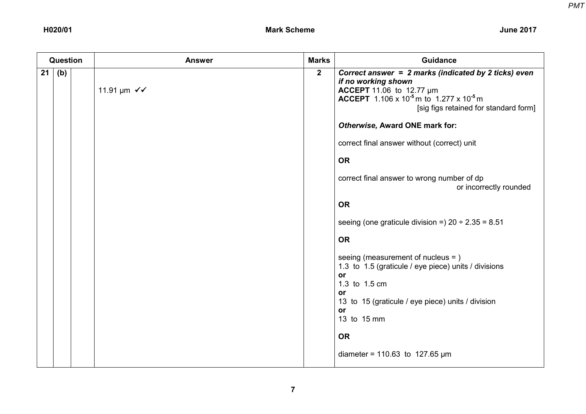|    | <b>Question</b> | <b>Answer</b>                        | <b>Marks</b>   | <b>Guidance</b>                                                                                                                                                                                                                        |
|----|-----------------|--------------------------------------|----------------|----------------------------------------------------------------------------------------------------------------------------------------------------------------------------------------------------------------------------------------|
| 21 | (b)             | 11.91 $\mu$ m $\checkmark\checkmark$ | $\overline{2}$ | Correct answer = 2 marks (indicated by 2 ticks) even<br>if no working shown<br><b>ACCEPT</b> 11.06 to 12.77 $\mu$ m<br><b>ACCEPT</b> 1.106 x 10 <sup>-5</sup> m to 1.277 x 10 <sup>-5</sup> m<br>[sig figs retained for standard form] |
|    |                 |                                      |                | Otherwise, Award ONE mark for:                                                                                                                                                                                                         |
|    |                 |                                      |                | correct final answer without (correct) unit                                                                                                                                                                                            |
|    |                 |                                      |                | <b>OR</b>                                                                                                                                                                                                                              |
|    |                 |                                      |                | correct final answer to wrong number of dp<br>or incorrectly rounded                                                                                                                                                                   |
|    |                 |                                      |                | <b>OR</b>                                                                                                                                                                                                                              |
|    |                 |                                      |                | seeing (one graticule division =) $20 \div 2.35 = 8.51$                                                                                                                                                                                |
|    |                 |                                      |                | <b>OR</b>                                                                                                                                                                                                                              |
|    |                 |                                      |                | seeing (measurement of nucleus = )<br>1.3 to 1.5 (graticule / eye piece) units / divisions<br>or<br>1.3 to 1.5 cm<br>or<br>13 to 15 (graticule / eye piece) units / division<br>or<br>13 to 15 mm                                      |
|    |                 |                                      |                | <b>OR</b>                                                                                                                                                                                                                              |
|    |                 |                                      |                | diameter = 110.63 to 127.65 $\mu$ m                                                                                                                                                                                                    |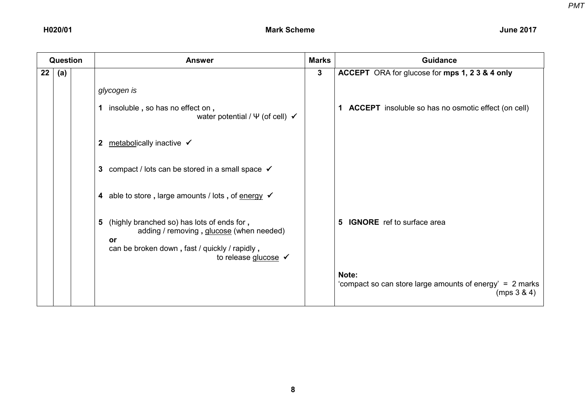|    | Question |  | <b>Answer</b>                                                                                                                                                                         |              | <b>Guidance</b>                                                                  |  |
|----|----------|--|---------------------------------------------------------------------------------------------------------------------------------------------------------------------------------------|--------------|----------------------------------------------------------------------------------|--|
| 22 | (a)      |  |                                                                                                                                                                                       | $\mathbf{3}$ | ACCEPT ORA for glucose for mps 1, 2 3 & 4 only                                   |  |
|    |          |  | glycogen is                                                                                                                                                                           |              |                                                                                  |  |
|    |          |  | insoluble, so has no effect on,<br>1.<br>water potential / $\Psi$ (of cell) $\checkmark$                                                                                              |              | 1 ACCEPT insoluble so has no osmotic effect (on cell)                            |  |
|    |          |  | metabolically inactive ✔<br>$\mathbf{2}$                                                                                                                                              |              |                                                                                  |  |
|    |          |  | compact / lots can be stored in a small space $\checkmark$<br>3                                                                                                                       |              |                                                                                  |  |
|    |          |  | 4 able to store, large amounts / lots, of energy $\checkmark$                                                                                                                         |              |                                                                                  |  |
|    |          |  | (highly branched so) has lots of ends for,<br>5<br>adding / removing, glucose (when needed)<br>or<br>can be broken down, fast / quickly / rapidly,<br>to release glucose $\checkmark$ |              | <b>IGNORE</b> ref to surface area<br>5.                                          |  |
|    |          |  |                                                                                                                                                                                       |              | Note:<br>'compact so can store large amounts of energy' = 2 marks<br>(mps 3 & 4) |  |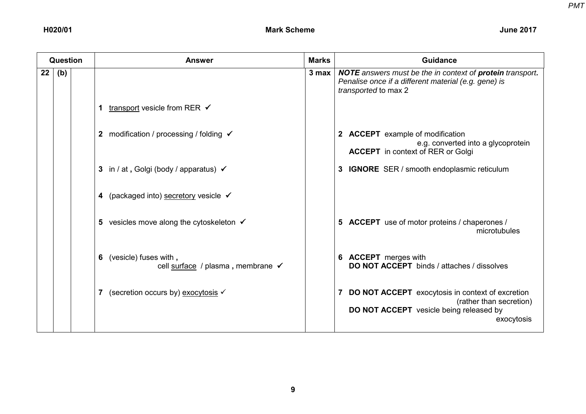|         | Question |  | <b>Answer</b>                                                   | <b>Marks</b> | Guidance                                                                                                                                                |
|---------|----------|--|-----------------------------------------------------------------|--------------|---------------------------------------------------------------------------------------------------------------------------------------------------------|
| $22 \,$ | (b)      |  |                                                                 | $3$ max $ $  | <b>NOTE</b> answers must be the in context of <b>protein</b> transport.<br>Penalise once if a different material (e.g. gene) is<br>transported to max 2 |
|         |          |  | transport vesicle from RER $\checkmark$<br>1                    |              |                                                                                                                                                         |
|         |          |  | modification / processing / folding √<br>$\mathbf{2}$           |              | 2 ACCEPT example of modification<br>e.g. converted into a glycoprotein<br><b>ACCEPT</b> in context of RER or Golgi                                      |
|         |          |  | 3 in / at, Golgi (body / apparatus) √                           |              | 3 IGNORE SER / smooth endoplasmic reticulum                                                                                                             |
|         |          |  | 4 (packaged into) secretory vesicle √                           |              |                                                                                                                                                         |
|         |          |  | 5 vesicles move along the cytoskeleton √                        |              | 5 ACCEPT use of motor proteins / chaperones /<br>microtubules                                                                                           |
|         |          |  | (vesicle) fuses with,<br>6<br>cell surface / plasma, membrane √ |              | 6 ACCEPT merges with<br><b>DO NOT ACCEPT</b> binds / attaches / dissolves                                                                               |
|         |          |  | (secretion occurs by) exocytosis √                              |              | <b>DO NOT ACCEPT</b> exocytosis in context of excretion<br>(rather than secretion)<br><b>DO NOT ACCEPT</b> vesicle being released by<br>exocytosis      |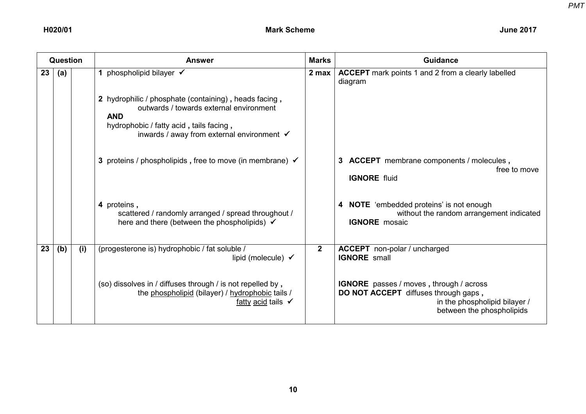|    | Question |     | <b>Answer</b>                                                                                                                                                                                                      | <b>Marks</b> | <b>Guidance</b>                                                                                                                                      |
|----|----------|-----|--------------------------------------------------------------------------------------------------------------------------------------------------------------------------------------------------------------------|--------------|------------------------------------------------------------------------------------------------------------------------------------------------------|
| 23 | (a)      |     | 1 phospholipid bilayer $\checkmark$                                                                                                                                                                                | 2 max        | <b>ACCEPT</b> mark points 1 and 2 from a clearly labelled<br>diagram                                                                                 |
|    |          |     | 2 hydrophilic / phosphate (containing), heads facing,<br>outwards / towards external environment<br><b>AND</b><br>hydrophobic / fatty acid, tails facing,<br>inwards / away from external environment $\checkmark$ |              |                                                                                                                                                      |
|    |          |     | 3 proteins / phospholipids, free to move (in membrane) $\checkmark$                                                                                                                                                |              | 3 ACCEPT membrane components / molecules,<br>free to move<br><b>IGNORE</b> fluid                                                                     |
|    |          |     | 4 proteins,<br>scattered / randomly arranged / spread throughout /<br>here and there (between the phospholipids) $\checkmark$                                                                                      |              | 4 NOTE 'embedded proteins' is not enough<br>without the random arrangement indicated<br><b>IGNORE</b> mosaic                                         |
| 23 | (b)      | (i) | (progesterone is) hydrophobic / fat soluble /<br>lipid (molecule) $\checkmark$                                                                                                                                     | $\mathbf{2}$ | <b>ACCEPT</b> non-polar / uncharged<br><b>IGNORE</b> small                                                                                           |
|    |          |     | (so) dissolves in / diffuses through / is not repelled by,<br>the phospholipid (bilayer) / hydrophobic tails /<br>fatty acid tails $\checkmark$                                                                    |              | <b>IGNORE</b> passes / moves, through / across<br>DO NOT ACCEPT diffuses through gaps,<br>in the phospholipid bilayer /<br>between the phospholipids |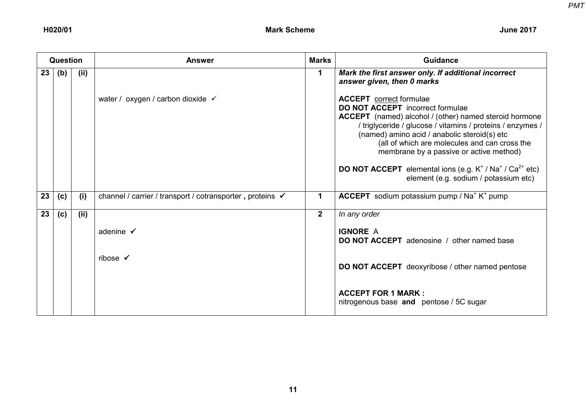|    | Question |      | <b>Answer</b>                                             | <b>Marks</b>   | <b>Guidance</b>                                                                                                                                                                                                                                                                                                                                                                                                                                                        |
|----|----------|------|-----------------------------------------------------------|----------------|------------------------------------------------------------------------------------------------------------------------------------------------------------------------------------------------------------------------------------------------------------------------------------------------------------------------------------------------------------------------------------------------------------------------------------------------------------------------|
| 23 | (b)      | (ii) |                                                           | $\mathbf 1$    | Mark the first answer only. If additional incorrect<br>answer given, then 0 marks                                                                                                                                                                                                                                                                                                                                                                                      |
|    |          |      | water / oxygen / carbon dioxide √                         |                | <b>ACCEPT</b> correct formulae<br><b>DO NOT ACCEPT</b> incorrect formulae<br><b>ACCEPT</b> (named) alcohol / (other) named steroid hormone<br>/ triglyceride / glucose / vitamins / proteins / enzymes /<br>(named) amino acid / anabolic steroid(s) etc<br>(all of which are molecules and can cross the<br>membrane by a passive or active method)<br><b>DO NOT ACCEPT</b> elemental ions (e.g. $K^+ / Na^+ / Ca^{2+}$ etc)<br>element (e.g. sodium / potassium etc) |
| 23 | (c)      | (i)  | channel / carrier / transport / cotransporter, proteins √ | 1              | <b>ACCEPT</b> sodium potassium pump / Na <sup>+</sup> K <sup>+</sup> pump                                                                                                                                                                                                                                                                                                                                                                                              |
| 23 | (c)      | (ii) |                                                           | 2 <sup>1</sup> | In any order                                                                                                                                                                                                                                                                                                                                                                                                                                                           |
|    |          |      | adenine $\checkmark$                                      |                | <b>IGNORE A</b><br><b>DO NOT ACCEPT</b> adenosine / other named base                                                                                                                                                                                                                                                                                                                                                                                                   |
|    |          |      | ribose $\checkmark$                                       |                | <b>DO NOT ACCEPT</b> deoxyribose / other named pentose                                                                                                                                                                                                                                                                                                                                                                                                                 |
|    |          |      |                                                           |                | <b>ACCEPT FOR 1 MARK:</b><br>nitrogenous base and pentose / 5C sugar                                                                                                                                                                                                                                                                                                                                                                                                   |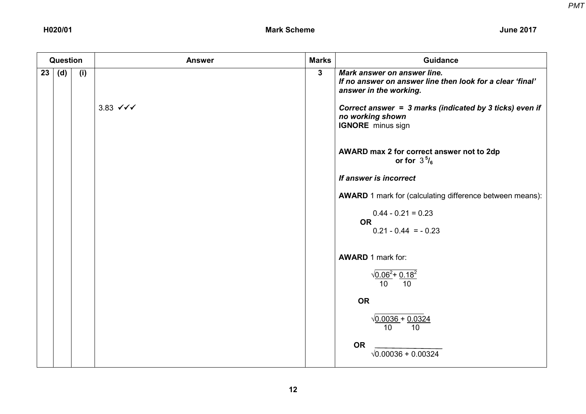|    | Question |     | <b>Answer</b>                           | <b>Marks</b>            | <b>Guidance</b>                                                                                                                                                                                                                                                                                                                   |
|----|----------|-----|-----------------------------------------|-------------------------|-----------------------------------------------------------------------------------------------------------------------------------------------------------------------------------------------------------------------------------------------------------------------------------------------------------------------------------|
| 23 | (d)      | (i) | 3.83 $\checkmark \checkmark \checkmark$ | $\overline{\mathbf{3}}$ | Mark answer on answer line.<br>If no answer on answer line then look for a clear 'final'<br>answer in the working.<br>Correct answer = 3 marks (indicated by 3 ticks) even if<br>no working shown<br><b>IGNORE</b> minus sign                                                                                                     |
|    |          |     |                                         |                         | AWARD max 2 for correct answer not to 2dp<br>or for $3^5$ / <sub>6</sub><br>If answer is incorrect<br><b>AWARD</b> 1 mark for (calculating difference between means):<br>$0.44 - 0.21 = 0.23$<br><b>OR</b><br>$0.21 - 0.44 = -0.23$<br><b>AWARD 1 mark for:</b><br>$\sqrt{0.06^2 + 0.18^2}$<br>10 <sup>°</sup><br>10<br><b>OR</b> |
|    |          |     |                                         |                         | $\sqrt{0.0036} + 0.0324$<br>10<br>10 <sup>°</sup><br><b>OR</b><br>$\sqrt{0.00036} + 0.00324$                                                                                                                                                                                                                                      |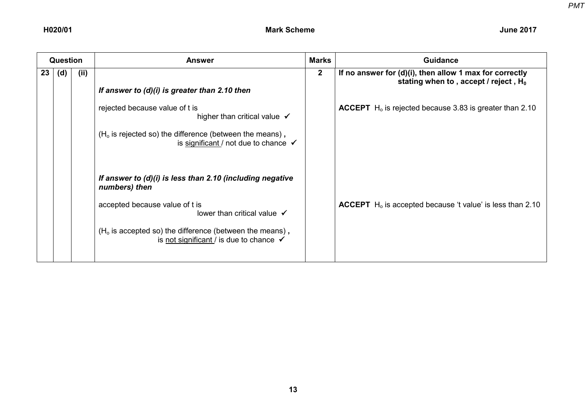| <b>Question</b> |     |      | <b>Answer</b>                                                                                                                                                                                                                                                               | <b>Marks</b> | <b>Guidance</b>                                                                                                |
|-----------------|-----|------|-----------------------------------------------------------------------------------------------------------------------------------------------------------------------------------------------------------------------------------------------------------------------------|--------------|----------------------------------------------------------------------------------------------------------------|
| 23              | (d) | (ii) | If answer to $(d)(i)$ is greater than 2.10 then                                                                                                                                                                                                                             | $\mathbf{2}$ | If no answer for $(d)(i)$ , then allow 1 max for correctly<br>stating when to, accept / reject, H <sub>0</sub> |
|                 |     |      | rejected because value of t is<br>higher than critical value $\checkmark$<br>$(Ho$ is rejected so) the difference (between the means),<br>is significant / not due to chance $\checkmark$                                                                                   |              | <b>ACCEPT</b> H <sub>o</sub> is rejected because 3.83 is greater than 2.10                                     |
|                 |     |      | If answer to $(d)(i)$ is less than 2.10 (including negative<br>numbers) then<br>accepted because value of t is<br>lower than critical value $\checkmark$<br>$(Ho$ is accepted so) the difference (between the means),<br>is not significant / is due to chance $\checkmark$ |              | <b>ACCEPT</b> $H_0$ is accepted because 't value' is less than 2.10                                            |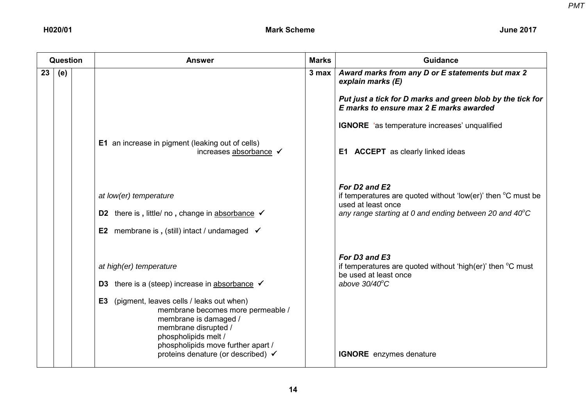|    | Question |  | <b>Answer</b>                                                                                                                                                                                                                                                                                     | <b>Marks</b> | <b>Guidance</b>                                                                                                                                                                                                   |
|----|----------|--|---------------------------------------------------------------------------------------------------------------------------------------------------------------------------------------------------------------------------------------------------------------------------------------------------|--------------|-------------------------------------------------------------------------------------------------------------------------------------------------------------------------------------------------------------------|
| 23 | (e)      |  |                                                                                                                                                                                                                                                                                                   | 3 max        | Award marks from any D or E statements but max 2<br>explain marks (E)<br>Put just a tick for D marks and green blob by the tick for<br>E marks to ensure max 2 E marks awarded                                    |
|    |          |  |                                                                                                                                                                                                                                                                                                   |              | <b>IGNORE</b> 'as temperature increases' unqualified                                                                                                                                                              |
|    |          |  | <b>E1</b> an increase in pigment (leaking out of cells)<br>increases absorbance ✔                                                                                                                                                                                                                 |              | <b>E1 ACCEPT</b> as clearly linked ideas                                                                                                                                                                          |
|    |          |  | at low(er) temperature<br>D2 there is, little/ no, change in absorbance $\checkmark$                                                                                                                                                                                                              |              | For D <sub>2</sub> and E <sub>2</sub><br>if temperatures are quoted without 'low(er)' then $\mathrm{^{\circ}C}$ must be<br>used at least once<br>any range starting at 0 and ending between 20 and $40^{\circ}$ C |
|    |          |  | <b>E2</b> membrane is, (still) intact / undamaged $\checkmark$                                                                                                                                                                                                                                    |              |                                                                                                                                                                                                                   |
|    |          |  | at high(er) temperature<br><b>D3</b> there is a (steep) increase in absorbance $\checkmark$<br>(pigment, leaves cells / leaks out when)<br>E3<br>membrane becomes more permeable /<br>membrane is damaged /<br>membrane disrupted /<br>phospholipids melt /<br>phospholipids move further apart / |              | For D3 and E3<br>if temperatures are quoted without 'high(er)' then $\mathrm{C}$ must<br>be used at least once<br>above $30/40^{\circ}$ C                                                                         |
|    |          |  | proteins denature (or described) √                                                                                                                                                                                                                                                                |              | <b>IGNORE</b> enzymes denature                                                                                                                                                                                    |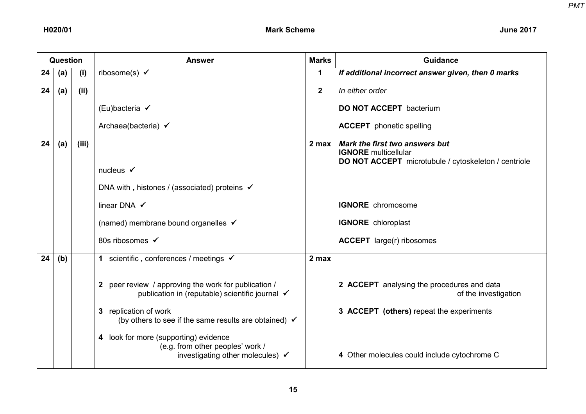|    | <b>Question</b> |       | <b>Answer</b>                                                                                                               | <b>Marks</b> | <b>Guidance</b>                                                                                                       |
|----|-----------------|-------|-----------------------------------------------------------------------------------------------------------------------------|--------------|-----------------------------------------------------------------------------------------------------------------------|
| 24 | (a)             | (i)   | ribosome(s) $\checkmark$                                                                                                    | 1            | If additional incorrect answer given, then 0 marks                                                                    |
| 24 | (a)             | (ii)  |                                                                                                                             | $\mathbf{2}$ | In either order                                                                                                       |
|    |                 |       | (Eu)bacteria √                                                                                                              |              | <b>DO NOT ACCEPT</b> bacterium                                                                                        |
|    |                 |       | Archaea(bacteria) ✔                                                                                                         |              | <b>ACCEPT</b> phonetic spelling                                                                                       |
| 24 | (a)             | (iii) | nucleus $\checkmark$                                                                                                        | 2 max        | Mark the first two answers but<br><b>IGNORE</b> multicellular<br>DO NOT ACCEPT microtubule / cytoskeleton / centriole |
|    |                 |       | DNA with, histones / (associated) proteins √                                                                                |              |                                                                                                                       |
|    |                 |       | linear DNA $\checkmark$                                                                                                     |              | <b>IGNORE</b> chromosome                                                                                              |
|    |                 |       | (named) membrane bound organelles √                                                                                         |              | <b>IGNORE</b> chloroplast                                                                                             |
|    |                 |       | 80s ribosomes ✔                                                                                                             |              | <b>ACCEPT</b> large(r) ribosomes                                                                                      |
| 24 | (b)             |       | 1 scientific, conferences / meetings $\checkmark$                                                                           | 2 max        |                                                                                                                       |
|    |                 |       | 2 peer review / approving the work for publication /<br>publication in (reputable) scientific journal √                     |              | 2 ACCEPT analysing the procedures and data<br>of the investigation                                                    |
|    |                 |       | replication of work<br>$\mathbf{3}$<br>(by others to see if the same results are obtained) $\checkmark$                     |              | 3 ACCEPT (others) repeat the experiments                                                                              |
|    |                 |       | look for more (supporting) evidence<br>4<br>(e.g. from other peoples' work /<br>investigating other molecules) $\checkmark$ |              | 4 Other molecules could include cytochrome C                                                                          |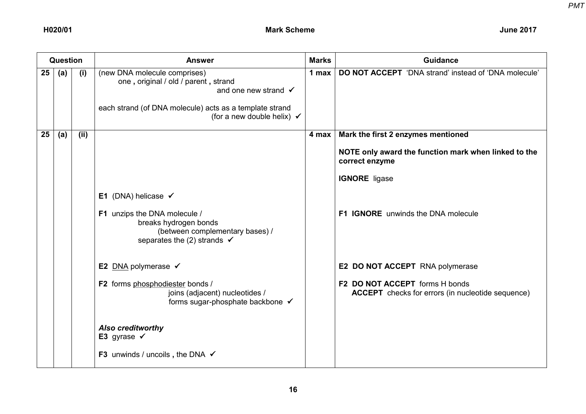| <b>Question</b> |     |      | <b>Answer</b>                                                                                                                                                                                               | <b>Marks</b> | <b>Guidance</b>                                                                            |
|-----------------|-----|------|-------------------------------------------------------------------------------------------------------------------------------------------------------------------------------------------------------------|--------------|--------------------------------------------------------------------------------------------|
| 25              | (a) | (i)  | (new DNA molecule comprises)<br>one, original / old / parent, strand<br>and one new strand $\checkmark$<br>each strand (of DNA molecule) acts as a template strand<br>(for a new double helix) $\checkmark$ | 1 max        | <b>DO NOT ACCEPT</b> 'DNA strand' instead of 'DNA molecule'                                |
| 25              | (a) | (ii) |                                                                                                                                                                                                             | 4 max        | Mark the first 2 enzymes mentioned                                                         |
|                 |     |      |                                                                                                                                                                                                             |              | NOTE only award the function mark when linked to the<br>correct enzyme                     |
|                 |     |      |                                                                                                                                                                                                             |              | <b>IGNORE</b> ligase                                                                       |
|                 |     |      | E1 (DNA) helicase $\checkmark$<br>F1 unzips the DNA molecule /<br>breaks hydrogen bonds<br>(between complementary bases) /<br>separates the (2) strands $\checkmark$                                        |              | <b>F1 IGNORE</b> unwinds the DNA molecule                                                  |
|                 |     |      | E2 DNA polymerase $\checkmark$                                                                                                                                                                              |              | <b>E2 DO NOT ACCEPT</b> RNA polymerase                                                     |
|                 |     |      | F2 forms phosphodiester bonds /<br>joins (adjacent) nucleotides /<br>forms sugar-phosphate backbone ✔                                                                                                       |              | F2 DO NOT ACCEPT forms H bonds<br><b>ACCEPT</b> checks for errors (in nucleotide sequence) |
|                 |     |      | <b>Also creditworthy</b><br>E3 gyrase $\checkmark$                                                                                                                                                          |              |                                                                                            |
|                 |     |      | <b>F3</b> unwinds / uncoils, the DNA $\checkmark$                                                                                                                                                           |              |                                                                                            |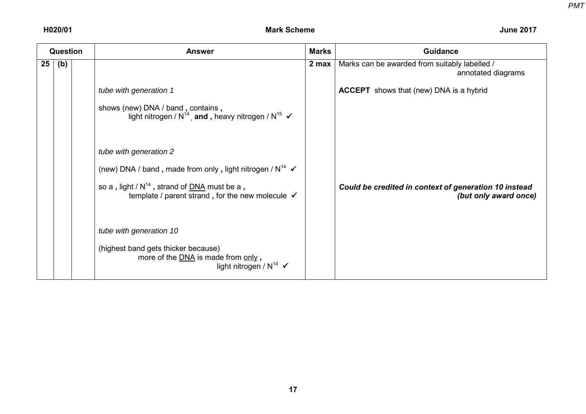| <b>Question</b> |     | <b>Answer</b>                                                                                                              | <b>Marks</b> | <b>Guidance</b>                                                                |
|-----------------|-----|----------------------------------------------------------------------------------------------------------------------------|--------------|--------------------------------------------------------------------------------|
| 25              | (b) |                                                                                                                            | 2 max        | Marks can be awarded from suitably labelled /<br>annotated diagrams            |
|                 |     | tube with generation 1                                                                                                     |              | <b>ACCEPT</b> shows that (new) DNA is a hybrid                                 |
|                 |     | shows (new) DNA / band, contains,<br>light nitrogen / $N^{14}$ , and, heavy nitrogen / $N^{15}$ $\checkmark$               |              |                                                                                |
|                 |     | tube with generation 2                                                                                                     |              |                                                                                |
|                 |     | (new) DNA / band, made from only, light nitrogen / $N^{14}$ $\checkmark$                                                   |              |                                                                                |
|                 |     | so a, light / $N^{14}$ , strand of $DNA$ must be a,<br>template / parent strand, for the new molecule $\checkmark$         |              | Could be credited in context of generation 10 instead<br>(but only award once) |
|                 |     | tube with generation 10                                                                                                    |              |                                                                                |
|                 |     | (highest band gets thicker because)<br>more of the <b>DNA</b> is made from only,<br>light nitrogen / $N^{14}$ $\checkmark$ |              |                                                                                |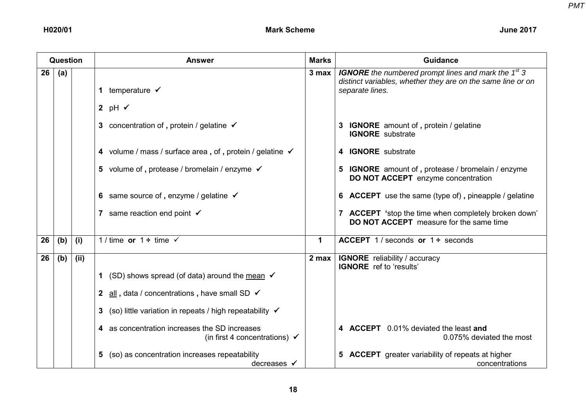| Question |     |      | <b>Answer</b>                                                                             | <b>Marks</b> | <b>Guidance</b>                                                                                                                                |
|----------|-----|------|-------------------------------------------------------------------------------------------|--------------|------------------------------------------------------------------------------------------------------------------------------------------------|
| 26       | (a) |      | 1 temperature $\checkmark$                                                                | 3 max        | <b>IGNORE</b> the numbered prompt lines and mark the $1st$ 3<br>distinct variables, whether they are on the same line or on<br>separate lines. |
|          |     |      | 2 pH $\checkmark$                                                                         |              |                                                                                                                                                |
|          |     |      | 3 concentration of, protein / gelatine $\checkmark$                                       |              | <b>IGNORE</b> amount of, protein / gelatine<br><b>IGNORE</b> substrate                                                                         |
|          |     |      | 4 volume / mass / surface area, of, protein / gelatine √                                  |              | 4 IGNORE substrate                                                                                                                             |
|          |     |      | 5 volume of, protease / bromelain / enzyme $\checkmark$                                   |              | 5 IGNORE amount of, protease / bromelain / enzyme<br><b>DO NOT ACCEPT</b> enzyme concentration                                                 |
|          |     |      | 6 same source of, enzyme / gelatine $\checkmark$                                          |              | <b>6 ACCEPT</b> use the same (type of), pineapple / gelatine                                                                                   |
|          |     |      | 7 same reaction end point $\checkmark$                                                    |              | 7 ACCEPT 'stop the time when completely broken down'<br><b>DO NOT ACCEPT</b> measure for the same time                                         |
| 26       | (b) | (i)  | 1/time or $1 \div$ time $\checkmark$                                                      | $\mathbf 1$  | <b>ACCEPT</b> 1/seconds or $1 \div$ seconds                                                                                                    |
| 26       | (b) | (ii) |                                                                                           | 2 max        | <b>IGNORE</b> reliability / accuracy<br><b>IGNORE</b> ref to 'results'                                                                         |
|          |     |      | (SD) shows spread (of data) around the mean $\checkmark$<br>1                             |              |                                                                                                                                                |
|          |     |      | all, data / concentrations, have small SD $\checkmark$<br>$\mathbf{2}$                    |              |                                                                                                                                                |
|          |     |      | (so) little variation in repeats / high repeatability $\checkmark$<br>3                   |              |                                                                                                                                                |
|          |     |      | 4 as concentration increases the SD increases<br>(in first 4 concentrations) $\checkmark$ |              | 4 ACCEPT 0.01% deviated the least and<br>0.075% deviated the most                                                                              |
|          |     |      | (so) as concentration increases repeatability<br>5.<br>decreases $\checkmark$             |              | <b>5 ACCEPT</b> greater variability of repeats at higher<br>concentrations                                                                     |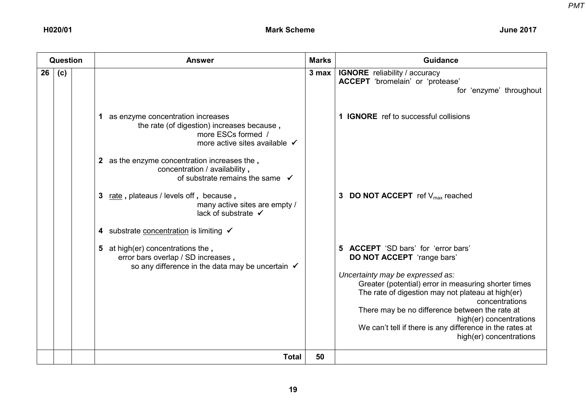| <b>Question</b> |     | <b>Answer</b>                                                                                                                                                                                                                                                                                                                                                                                                                                                                                                                                              | <b>Marks</b> | <b>Guidance</b>                                                                                                                                                                                                                                                                                                                                                                                                                                                                                                                                                                           |
|-----------------|-----|------------------------------------------------------------------------------------------------------------------------------------------------------------------------------------------------------------------------------------------------------------------------------------------------------------------------------------------------------------------------------------------------------------------------------------------------------------------------------------------------------------------------------------------------------------|--------------|-------------------------------------------------------------------------------------------------------------------------------------------------------------------------------------------------------------------------------------------------------------------------------------------------------------------------------------------------------------------------------------------------------------------------------------------------------------------------------------------------------------------------------------------------------------------------------------------|
| 26              | (c) | 1 as enzyme concentration increases<br>the rate (of digestion) increases because,<br>more ESCs formed /<br>more active sites available √<br>2 as the enzyme concentration increases the,<br>concentration / availability,<br>of substrate remains the same $\checkmark$<br>rate, plateaus / levels off, because,<br>3<br>many active sites are empty /<br>lack of substrate ✔<br>substrate concentration is limiting √<br>4<br>5 at high(er) concentrations the,<br>error bars overlap / SD increases,<br>so any difference in the data may be uncertain √ | 3 max        | <b>IGNORE</b> reliability / accuracy<br>ACCEPT 'bromelain' or 'protease'<br>for 'enzyme' throughout<br>1 <b>IGNORE</b> ref to successful collisions<br>3 DO NOT ACCEPT ref $V_{max}$ reached<br><b>ACCEPT</b> 'SD bars' for 'error bars'<br><b>DO NOT ACCEPT</b> 'range bars'<br>Uncertainty may be expressed as:<br>Greater (potential) error in measuring shorter times<br>The rate of digestion may not plateau at high(er)<br>concentrations<br>There may be no difference between the rate at<br>high(er) concentrations<br>We can't tell if there is any difference in the rates at |
|                 |     | <b>Total</b>                                                                                                                                                                                                                                                                                                                                                                                                                                                                                                                                               | 50           | high(er) concentrations                                                                                                                                                                                                                                                                                                                                                                                                                                                                                                                                                                   |